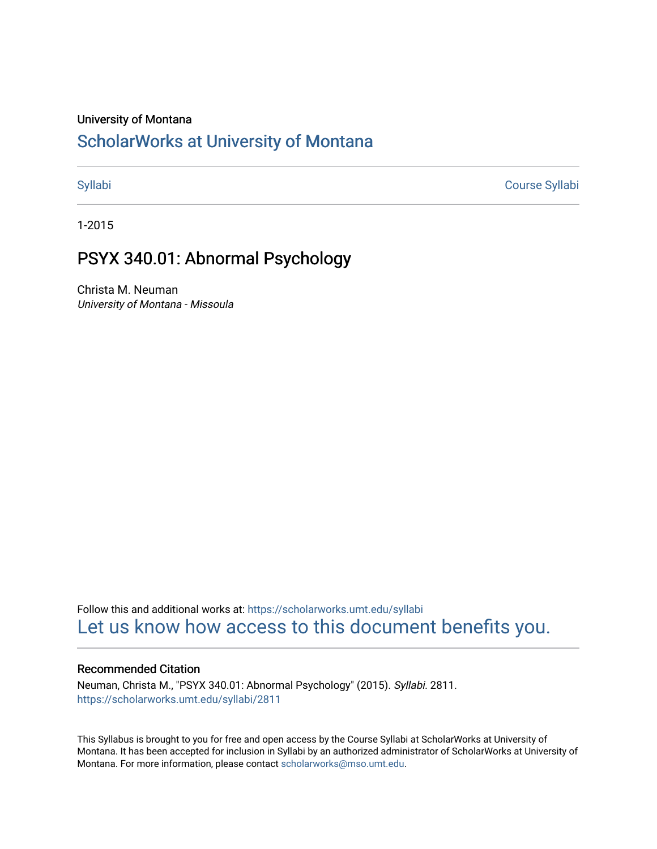#### University of Montana

# [ScholarWorks at University of Montana](https://scholarworks.umt.edu/)

[Syllabi](https://scholarworks.umt.edu/syllabi) [Course Syllabi](https://scholarworks.umt.edu/course_syllabi) 

1-2015

# PSYX 340.01: Abnormal Psychology

Christa M. Neuman University of Montana - Missoula

Follow this and additional works at: [https://scholarworks.umt.edu/syllabi](https://scholarworks.umt.edu/syllabi?utm_source=scholarworks.umt.edu%2Fsyllabi%2F2811&utm_medium=PDF&utm_campaign=PDFCoverPages)  [Let us know how access to this document benefits you.](https://goo.gl/forms/s2rGfXOLzz71qgsB2) 

### Recommended Citation

Neuman, Christa M., "PSYX 340.01: Abnormal Psychology" (2015). Syllabi. 2811. [https://scholarworks.umt.edu/syllabi/2811](https://scholarworks.umt.edu/syllabi/2811?utm_source=scholarworks.umt.edu%2Fsyllabi%2F2811&utm_medium=PDF&utm_campaign=PDFCoverPages)

This Syllabus is brought to you for free and open access by the Course Syllabi at ScholarWorks at University of Montana. It has been accepted for inclusion in Syllabi by an authorized administrator of ScholarWorks at University of Montana. For more information, please contact [scholarworks@mso.umt.edu.](mailto:scholarworks@mso.umt.edu)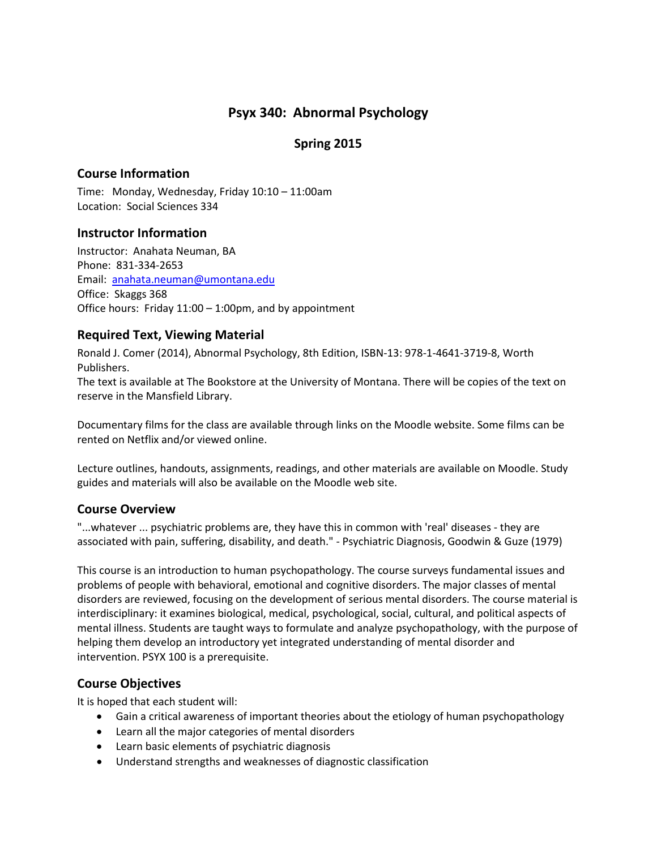# **Psyx 340: Abnormal Psychology**

# **Spring 2015**

# **Course Information**

Time: Monday, Wednesday, Friday 10:10 – 11:00am Location: Social Sciences 334

# **Instructor Information**

Instructor: Anahata Neuman, BA Phone: 831-334-2653 Email: [anahata.neuman@umontana.edu](mailto:anahata.neuman@umontana.edu) Office: Skaggs 368 Office hours: Friday  $11:00 - 1:00$  pm, and by appointment

# **Required Text, Viewing Material**

Ronald J. Comer (2014), Abnormal Psychology, 8th Edition, ISBN-13: 978-1-4641-3719-8, Worth Publishers.

The text is available at The Bookstore at the University of Montana. There will be copies of the text on reserve in the Mansfield Library.

Documentary films for the class are available through links on the Moodle website. Some films can be rented on Netflix and/or viewed online.

Lecture outlines, handouts, assignments, readings, and other materials are available on Moodle. Study guides and materials will also be available on the Moodle web site.

# **Course Overview**

"...whatever ... psychiatric problems are, they have this in common with 'real' diseases - they are associated with pain, suffering, disability, and death." - Psychiatric Diagnosis, Goodwin & Guze (1979)

This course is an introduction to human psychopathology. The course surveys fundamental issues and problems of people with behavioral, emotional and cognitive disorders. The major classes of mental disorders are reviewed, focusing on the development of serious mental disorders. The course material is interdisciplinary: it examines biological, medical, psychological, social, cultural, and political aspects of mental illness. Students are taught ways to formulate and analyze psychopathology, with the purpose of helping them develop an introductory yet integrated understanding of mental disorder and intervention. PSYX 100 is a prerequisite.

# **Course Objectives**

It is hoped that each student will:

- Gain a critical awareness of important theories about the etiology of human psychopathology
- Learn all the major categories of mental disorders
- Learn basic elements of psychiatric diagnosis
- Understand strengths and weaknesses of diagnostic classification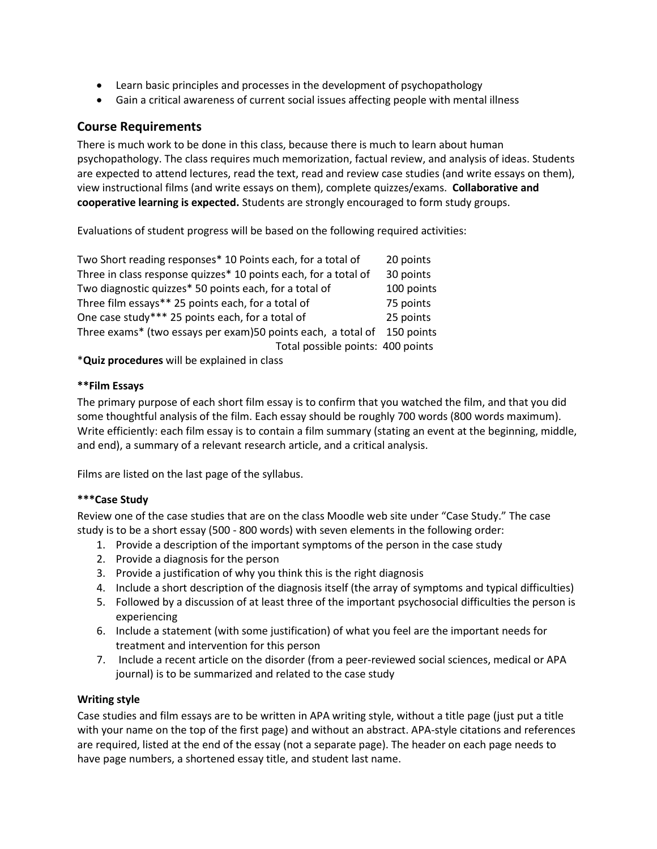- Learn basic principles and processes in the development of psychopathology
- Gain a critical awareness of current social issues affecting people with mental illness

# **Course Requirements**

There is much work to be done in this class, because there is much to learn about human psychopathology. The class requires much memorization, factual review, and analysis of ideas. Students are expected to attend lectures, read the text, read and review case studies (and write essays on them), view instructional films (and write essays on them), complete quizzes/exams. **Collaborative and cooperative learning is expected.** Students are strongly encouraged to form study groups.

Evaluations of student progress will be based on the following required activities:

| Two Short reading responses* 10 Points each, for a total of             | 20 points  |
|-------------------------------------------------------------------------|------------|
| Three in class response quizzes* 10 points each, for a total of         | 30 points  |
| Two diagnostic quizzes* 50 points each, for a total of                  | 100 points |
| Three film essays** 25 points each, for a total of                      | 75 points  |
| One case study*** 25 points each, for a total of                        | 25 points  |
| Three exams* (two essays per exam)50 points each, a total of 150 points |            |
| Total possible points: 400 points                                       |            |

\***Quiz procedures** will be explained in class

#### **\*\*Film Essays**

The primary purpose of each short film essay is to confirm that you watched the film, and that you did some thoughtful analysis of the film. Each essay should be roughly 700 words (800 words maximum). Write efficiently: each film essay is to contain a film summary (stating an event at the beginning, middle, and end), a summary of a relevant research article, and a critical analysis.

Films are listed on the last page of the syllabus.

#### **\*\*\*Case Study**

Review one of the case studies that are on the class Moodle web site under "Case Study." The case study is to be a short essay (500 - 800 words) with seven elements in the following order:

- 1. Provide a description of the important symptoms of the person in the case study
- 2. Provide a diagnosis for the person
- 3. Provide a justification of why you think this is the right diagnosis
- 4. Include a short description of the diagnosis itself (the array of symptoms and typical difficulties)
- 5. Followed by a discussion of at least three of the important psychosocial difficulties the person is experiencing
- 6. Include a statement (with some justification) of what you feel are the important needs for treatment and intervention for this person
- 7. Include a recent article on the disorder (from a peer-reviewed social sciences, medical or APA journal) is to be summarized and related to the case study

#### **Writing style**

Case studies and film essays are to be written in APA writing style, without a title page (just put a title with your name on the top of the first page) and without an abstract. APA-style citations and references are required, listed at the end of the essay (not a separate page). The header on each page needs to have page numbers, a shortened essay title, and student last name.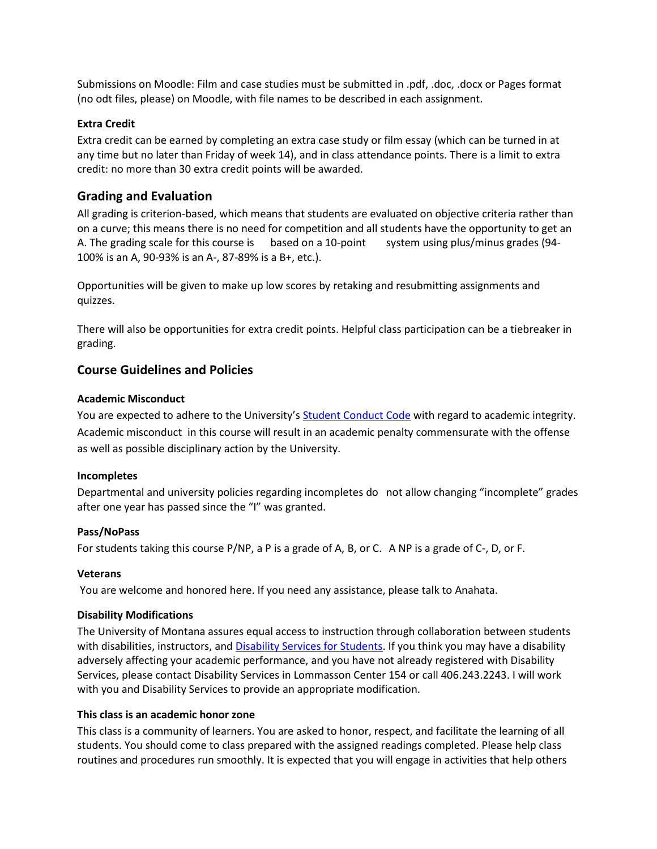Submissions on Moodle: Film and case studies must be submitted in .pdf, .doc, .docx or Pages format (no odt files, please) on Moodle, with file names to be described in each assignment.

#### **Extra Credit**

Extra credit can be earned by completing an extra case study or film essay (which can be turned in at any time but no later than Friday of week 14), and in class attendance points. There is a limit to extra credit: no more than 30 extra credit points will be awarded.

# **Grading and Evaluation**

All grading is criterion-based, which means that students are evaluated on objective criteria rather than on a curve; this means there is no need for competition and all students have the opportunity to get an A. The grading scale for this course is based on a 10-point system using plus/minus grades (94-100% is an A, 90-93% is an A-, 87-89% is a B+, etc.).

Opportunities will be given to make up low scores by retaking and resubmitting assignments and quizzes.

There will also be opportunities for extra credit points. Helpful class participation can be a tiebreaker in grading.

# **Course Guidelines and Policies**

#### **Academic Misconduct**

You are expected to adhere to the University's [Student Conduct Code](http://www.umt.edu/vpsa/policies/student_conduct.php) with regard to academic integrity. Academic misconduct in this course will result in an academic penalty commensurate with the offense as well as possible disciplinary action by the University.

#### **Incompletes**

Departmental and university policies regarding incompletes do not allow changing "incomplete" grades after one year has passed since the "I" was granted.

#### **Pass/NoPass**

For students taking this course P/NP, a P is a grade of A, B, or C. A NP is a grade of C-, D, or F.

#### **Veterans**

You are welcome and honored here. If you need any assistance, please talk to Anahata.

#### **Disability Modifications**

The University of Montana assures equal access to instruction through collaboration between students with disabilities, instructors, an[d Disability Services for Students.](http://www.umt.edu/dss/) If you think you may have a disability adversely affecting your academic performance, and you have not already registered with Disability Services, please contact Disability Services in Lommasson Center 154 or call 406.243.2243. I will work with you and Disability Services to provide an appropriate modification.

#### **This class is an academic honor zone**

This class is a community of learners. You are asked to honor, respect, and facilitate the learning of all students. You should come to class prepared with the assigned readings completed. Please help class routines and procedures run smoothly. It is expected that you will engage in activities that help others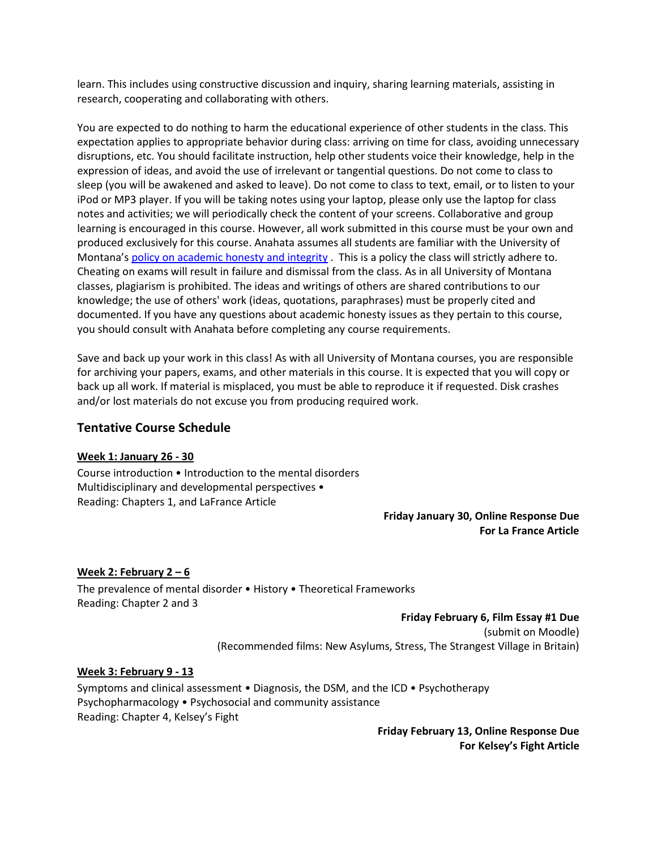learn. This includes using constructive discussion and inquiry, sharing learning materials, assisting in research, cooperating and collaborating with others.

You are expected to do nothing to harm the educational experience of other students in the class. This expectation applies to appropriate behavior during class: arriving on time for class, avoiding unnecessary disruptions, etc. You should facilitate instruction, help other students voice their knowledge, help in the expression of ideas, and avoid the use of irrelevant or tangential questions. Do not come to class to sleep (you will be awakened and asked to leave). Do not come to class to text, email, or to listen to your iPod or MP3 player. If you will be taking notes using your laptop, please only use the laptop for class notes and activities; we will periodically check the content of your screens. Collaborative and group learning is encouraged in this course. However, all work submitted in this course must be your own and produced exclusively for this course. Anahata assumes all students are familiar with the University of Montana'[s policy on academic honesty and integrity](http://libguides.lib.umt.edu/plagiarism). This is a policy the class will strictly adhere to. Cheating on exams will result in failure and dismissal from the class. As in all University of Montana classes, plagiarism is prohibited. The ideas and writings of others are shared contributions to our knowledge; the use of others' work (ideas, quotations, paraphrases) must be properly cited and documented. If you have any questions about academic honesty issues as they pertain to this course, you should consult with Anahata before completing any course requirements.

Save and back up your work in this class! As with all University of Montana courses, you are responsible for archiving your papers, exams, and other materials in this course. It is expected that you will copy or back up all work. If material is misplaced, you must be able to reproduce it if requested. Disk crashes and/or lost materials do not excuse you from producing required work.

# **Tentative Course Schedule**

#### **Week 1: January 26 - 30**

Course introduction • Introduction to the mental disorders Multidisciplinary and developmental perspectives • Reading: Chapters 1, and LaFrance Article

> **Friday January 30, Online Response Due For La France Article**

# **Week 2: February 2 – 6**

The prevalence of mental disorder • History • Theoretical Frameworks Reading: Chapter 2 and 3

#### **Friday February 6, Film Essay #1 Due**

(submit on Moodle)

(Recommended films: New Asylums, Stress, The Strangest Village in Britain)

#### **Week 3: February 9 - 13**

Symptoms and clinical assessment • Diagnosis, the DSM, and the ICD • Psychotherapy Psychopharmacology • Psychosocial and community assistance Reading: Chapter 4, Kelsey's Fight

> **Friday February 13, Online Response Due For Kelsey's Fight Article**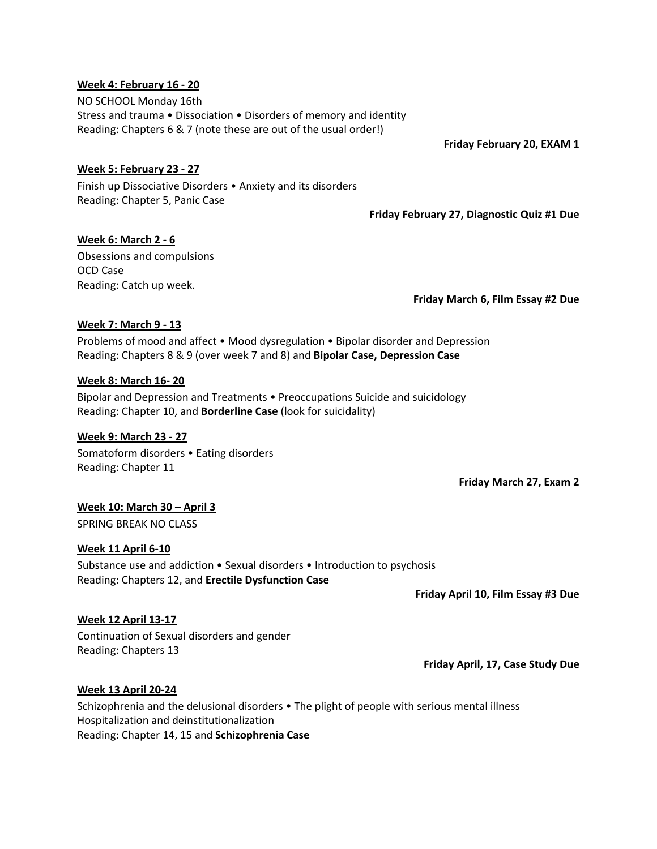#### **Week 4: February 16 - 20**

NO SCHOOL Monday 16th Stress and trauma • Dissociation • Disorders of memory and identity Reading: Chapters 6 & 7 (note these are out of the usual order!)

**Friday February 20, EXAM 1**

#### **Week 5: February 23 - 27**

Finish up Dissociative Disorders • Anxiety and its disorders Reading: Chapter 5, Panic Case

**Friday February 27, Diagnostic Quiz #1 Due**

### **Week 6: March 2 - 6**

Obsessions and compulsions OCD Case Reading: Catch up week.

**Friday March 6, Film Essay #2 Due**

#### **Week 7: March 9 - 13**

Problems of mood and affect • Mood dysregulation • Bipolar disorder and Depression Reading: Chapters 8 & 9 (over week 7 and 8) and **Bipolar Case, Depression Case**

#### **Week 8: March 16- 20**

Bipolar and Depression and Treatments • Preoccupations Suicide and suicidology Reading: Chapter 10, and **Borderline Case** (look for suicidality)

#### **Week 9: March 23 - 27**

Somatoform disorders • Eating disorders Reading: Chapter 11

**Friday March 27, Exam 2** 

#### **Week 10: March 30 – April 3**

SPRING BREAK NO CLASS

#### **Week 11 April 6-10**

Substance use and addiction • Sexual disorders • Introduction to psychosis Reading: Chapters 12, and **Erectile Dysfunction Case**

**Friday April 10, Film Essay #3 Due**

#### **Week 12 April 13-17**

Continuation of Sexual disorders and gender Reading: Chapters 13

**Friday April, 17, Case Study Due**

#### **Week 13 April 20-24**

Schizophrenia and the delusional disorders • The plight of people with serious mental illness Hospitalization and deinstitutionalization Reading: Chapter 14, 15 and **Schizophrenia Case**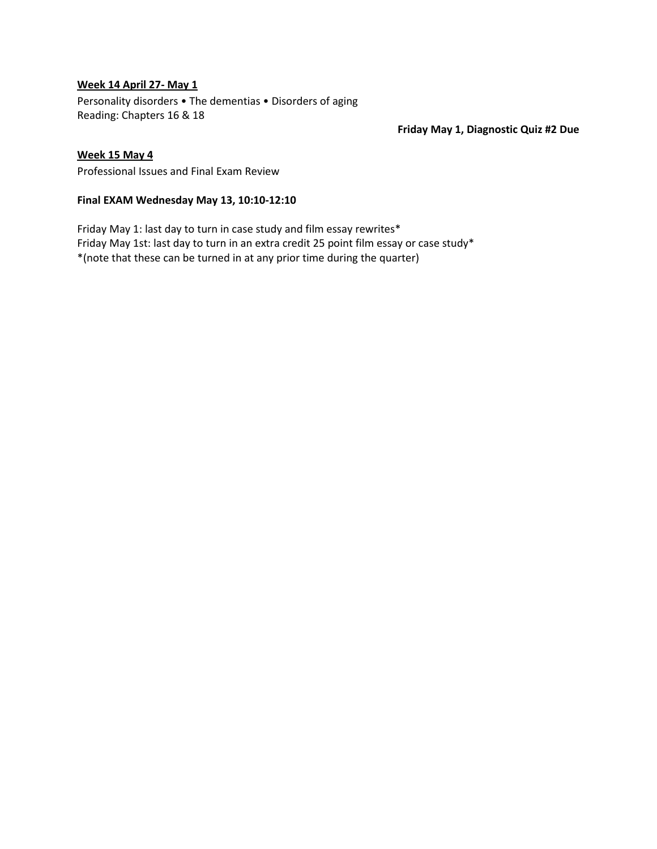#### **Week 14 April 27- May 1**

Personality disorders • The dementias • Disorders of aging Reading: Chapters 16 & 18

**Friday May 1, Diagnostic Quiz #2 Due**

#### **Week 15 May 4**

Professional Issues and Final Exam Review

#### **Final EXAM Wednesday May 13, 10:10-12:10**

Friday May 1: last day to turn in case study and film essay rewrites\* Friday May 1st: last day to turn in an extra credit 25 point film essay or case study\* \*(note that these can be turned in at any prior time during the quarter)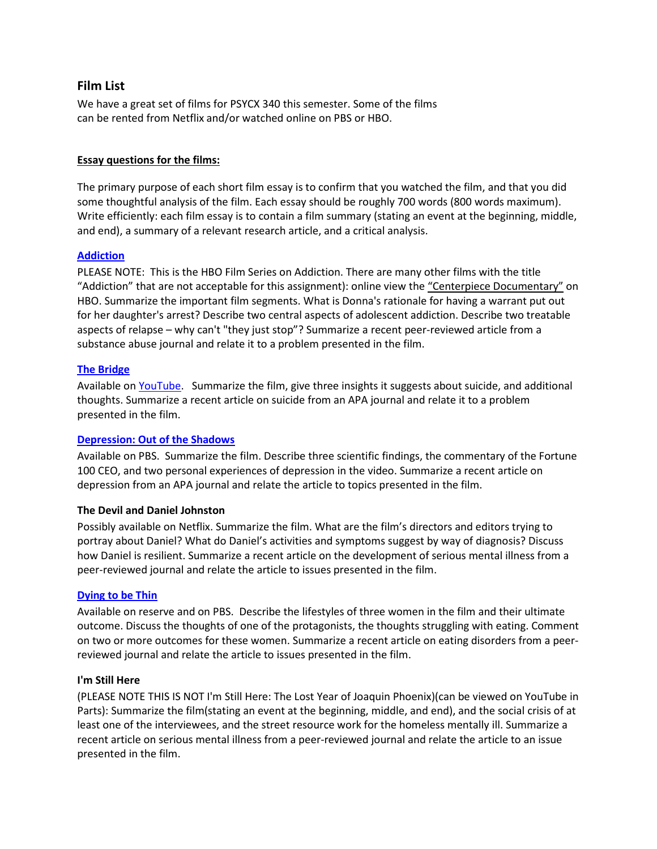# **Film List**

We have a great set of films for PSYCX 340 this semester. Some of the films can be rented from Netflix and/or watched online on PBS or HBO.

#### **Essay questions for the films:**

The primary purpose of each short film essay is to confirm that you watched the film, and that you did some thoughtful analysis of the film. Each essay should be roughly 700 words (800 words maximum). Write efficiently: each film essay is to contain a film summary (stating an event at the beginning, middle, and end), a summary of a relevant research article, and a critical analysis.

#### **[Addiction](http://www.hbo.com/addiction/thefilm/)**

PLEASE NOTE: This is the HBO Film Series on Addiction. There are many other films with the title "Addiction" that are not acceptable for this assignment): online view the "Centerpiece Documentary" on HBO. Summarize the important film segments. What is Donna's rationale for having a warrant put out for her daughter's arrest? Describe two central aspects of adolescent addiction. Describe two treatable aspects of relapse – why can't "they just stop"? Summarize a recent peer-reviewed article from a substance abuse journal and relate it to a problem presented in the film.

### **[The Bridge](https://www.youtube.com/watch?v=7JO_mrJBI98)**

Available on [YouTube.](https://www.youtube.com/) Summarize the film, give three insights it suggests about suicide, and additional thoughts. Summarize a recent article on suicide from an APA journal and relate it to a problem presented in the film.

#### **[Depression: Out of the Shadows](http://www.pbs.org/wgbh/takeonestep/depression/)**

Available on PBS. Summarize the film. Describe three scientific findings, the commentary of the Fortune 100 CEO, and two personal experiences of depression in the video. Summarize a recent article on depression from an APA journal and relate the article to topics presented in the film.

#### **The Devil and Daniel Johnston**

Possibly available on Netflix. Summarize the film. What are the film's directors and editors trying to portray about Daniel? What do Daniel's activities and symptoms suggest by way of diagnosis? Discuss how Daniel is resilient. Summarize a recent article on the development of serious mental illness from a peer-reviewed journal and relate the article to issues presented in the film.

#### **[Dying to be Thin](http://www.pbs.org/wgbh/nova/body/dying-to-be-thin.html)**

Available on reserve and on PBS. Describe the lifestyles of three women in the film and their ultimate outcome. Discuss the thoughts of one of the protagonists, the thoughts struggling with eating. Comment on two or more outcomes for these women. Summarize a recent article on eating disorders from a peerreviewed journal and relate the article to issues presented in the film.

#### **I'm Still Here**

(PLEASE NOTE THIS IS NOT I'm Still Here: The Lost Year of Joaquin Phoenix)(can be viewed on YouTube in Parts): Summarize the film(stating an event at the beginning, middle, and end), and the social crisis of at least one of the interviewees, and the street resource work for the homeless mentally ill. Summarize a recent article on serious mental illness from a peer-reviewed journal and relate the article to an issue presented in the film.